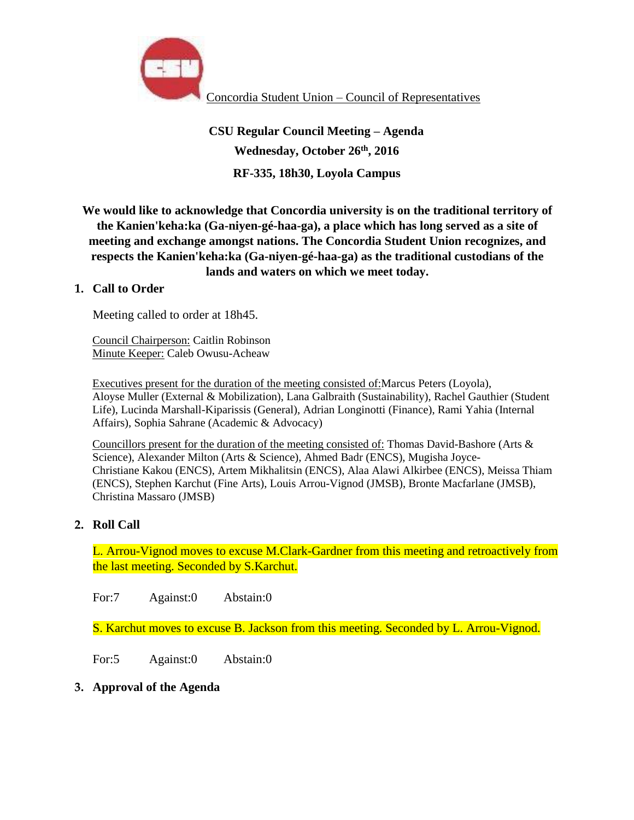

# **CSU Regular Council Meeting – Agenda Wednesday, October 26th, 2016 RF-335, 18h30, Loyola Campus**

**We would like to acknowledge that Concordia university is on the traditional territory of the Kanien'keha:ka (Ga-niyen-gé-haa-ga), a place which has long served as a site of meeting and exchange amongst nations. The Concordia Student Union recognizes, and respects the Kanien'keha:ka (Ga-niyen-gé-haa-ga) as the traditional custodians of the lands and waters on which we meet today.**

## **1. Call to Order**

Meeting called to order at 18h45.

Council Chairperson: Caitlin Robinson Minute Keeper: Caleb Owusu-Acheaw

Executives present for the duration of the meeting consisted of:Marcus Peters (Loyola), Aloyse Muller (External & Mobilization), Lana Galbraith (Sustainability), Rachel Gauthier (Student Life), Lucinda Marshall-Kiparissis (General), Adrian Longinotti (Finance), Rami Yahia (Internal Affairs), Sophia Sahrane (Academic & Advocacy)

Councillors present for the duration of the meeting consisted of: Thomas David-Bashore (Arts & Science), Alexander Milton (Arts & Science), Ahmed Badr (ENCS), Mugisha Joyce-Christiane Kakou (ENCS), Artem Mikhalitsin (ENCS), Alaa Alawi Alkirbee (ENCS), Meissa Thiam (ENCS), Stephen Karchut (Fine Arts), Louis Arrou-Vignod (JMSB), Bronte Macfarlane (JMSB), Christina Massaro (JMSB)

## **2. Roll Call**

L. Arrou-Vignod moves to excuse M.Clark-Gardner from this meeting and retroactively from the last meeting. Seconded by S.Karchut.

For:7 Against:0 Abstain:0

S. Karchut moves to excuse B. Jackson from this meeting. Seconded by L. Arrou-Vignod.

For:5 Against:0 Abstain:0

**3. Approval of the Agenda**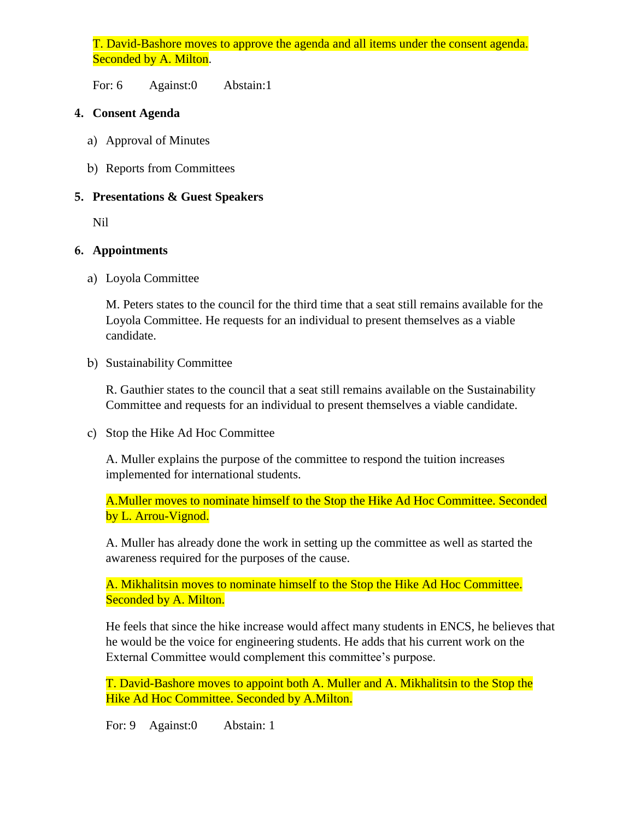T. David-Bashore moves to approve the agenda and all items under the consent agenda. Seconded by A. Milton.

For: 6 Against:0 Abstain:1

## **4. Consent Agenda**

- a) Approval of Minutes
- b) Reports from Committees

## **5. Presentations & Guest Speakers**

Nil

## **6. Appointments**

a) Loyola Committee

M. Peters states to the council for the third time that a seat still remains available for the Loyola Committee. He requests for an individual to present themselves as a viable candidate.

b) Sustainability Committee

R. Gauthier states to the council that a seat still remains available on the Sustainability Committee and requests for an individual to present themselves a viable candidate.

c) Stop the Hike Ad Hoc Committee

A. Muller explains the purpose of the committee to respond the tuition increases implemented for international students.

A.Muller moves to nominate himself to the Stop the Hike Ad Hoc Committee. Seconded by L. Arrou-Vignod.

A. Muller has already done the work in setting up the committee as well as started the awareness required for the purposes of the cause.

A. Mikhalitsin moves to nominate himself to the Stop the Hike Ad Hoc Committee. Seconded by A. Milton.

He feels that since the hike increase would affect many students in ENCS, he believes that he would be the voice for engineering students. He adds that his current work on the External Committee would complement this committee's purpose.

T. David-Bashore moves to appoint both A. Muller and A. Mikhalitsin to the Stop the Hike Ad Hoc Committee. Seconded by A.Milton.

For: 9 Against:0 Abstain: 1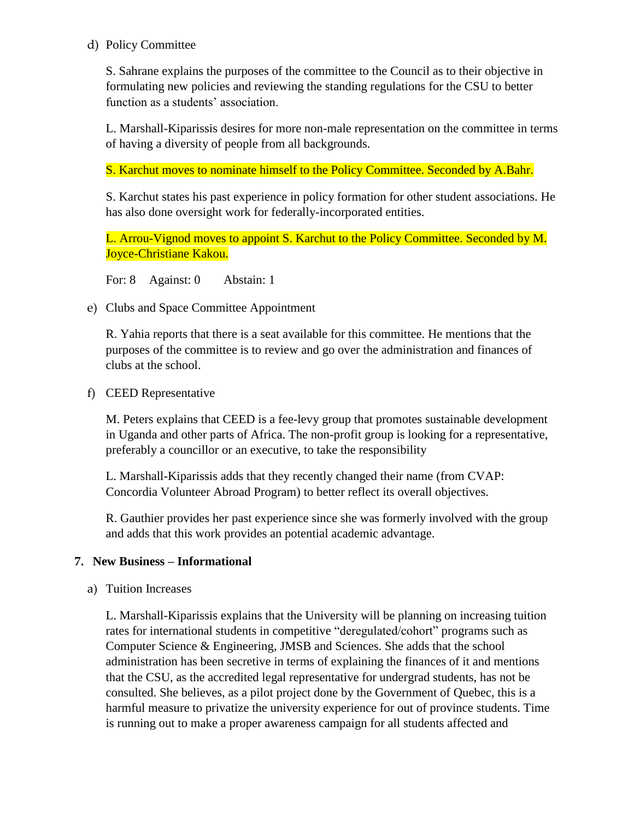#### d) Policy Committee

S. Sahrane explains the purposes of the committee to the Council as to their objective in formulating new policies and reviewing the standing regulations for the CSU to better function as a students' association.

L. Marshall-Kiparissis desires for more non-male representation on the committee in terms of having a diversity of people from all backgrounds.

S. Karchut moves to nominate himself to the Policy Committee. Seconded by A.Bahr.

S. Karchut states his past experience in policy formation for other student associations. He has also done oversight work for federally-incorporated entities.

L. Arrou-Vignod moves to appoint S. Karchut to the Policy Committee. Seconded by M. Joyce-Christiane Kakou.

For: 8 Against: 0 Abstain: 1

e) Clubs and Space Committee Appointment

R. Yahia reports that there is a seat available for this committee. He mentions that the purposes of the committee is to review and go over the administration and finances of clubs at the school.

f) CEED Representative

M. Peters explains that CEED is a fee-levy group that promotes sustainable development in Uganda and other parts of Africa. The non-profit group is looking for a representative, preferably a councillor or an executive, to take the responsibility

L. Marshall-Kiparissis adds that they recently changed their name (from CVAP: Concordia Volunteer Abroad Program) to better reflect its overall objectives.

R. Gauthier provides her past experience since she was formerly involved with the group and adds that this work provides an potential academic advantage.

## **7. New Business – Informational**

a) Tuition Increases

L. Marshall-Kiparissis explains that the University will be planning on increasing tuition rates for international students in competitive "deregulated/cohort" programs such as Computer Science & Engineering, JMSB and Sciences. She adds that the school administration has been secretive in terms of explaining the finances of it and mentions that the CSU, as the accredited legal representative for undergrad students, has not be consulted. She believes, as a pilot project done by the Government of Quebec, this is a harmful measure to privatize the university experience for out of province students. Time is running out to make a proper awareness campaign for all students affected and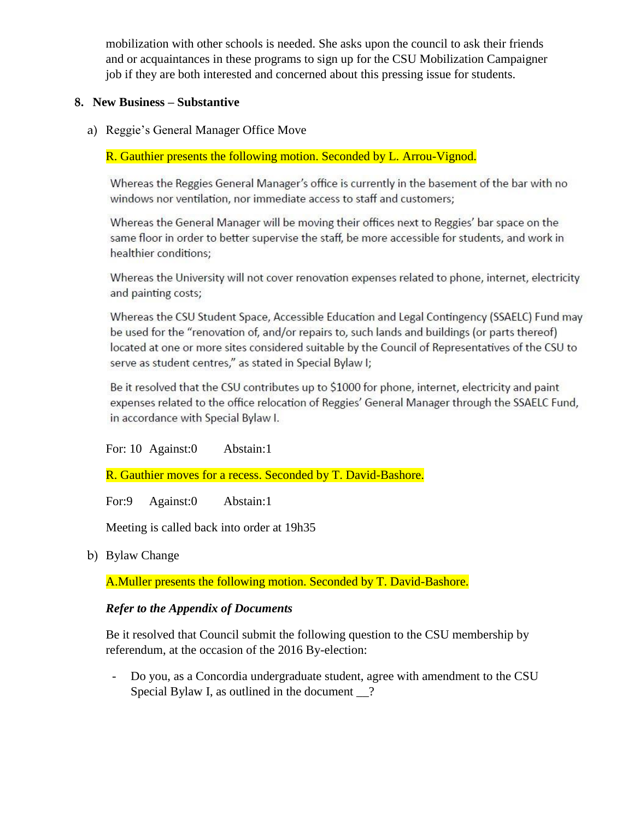mobilization with other schools is needed. She asks upon the council to ask their friends and or acquaintances in these programs to sign up for the CSU Mobilization Campaigner job if they are both interested and concerned about this pressing issue for students.

## **8. New Business – Substantive**

a) Reggie's General Manager Office Move

R. Gauthier presents the following motion. Seconded by L. Arrou-Vignod.

Whereas the Reggies General Manager's office is currently in the basement of the bar with no windows nor ventilation, nor immediate access to staff and customers;

Whereas the General Manager will be moving their offices next to Reggies' bar space on the same floor in order to better supervise the staff, be more accessible for students, and work in healthier conditions;

Whereas the University will not cover renovation expenses related to phone, internet, electricity and painting costs;

Whereas the CSU Student Space, Accessible Education and Legal Contingency (SSAELC) Fund may be used for the "renovation of, and/or repairs to, such lands and buildings (or parts thereof) located at one or more sites considered suitable by the Council of Representatives of the CSU to serve as student centres," as stated in Special Bylaw I;

Be it resolved that the CSU contributes up to \$1000 for phone, internet, electricity and paint expenses related to the office relocation of Reggies' General Manager through the SSAELC Fund, in accordance with Special Bylaw I.

For: 10 Against:0 Abstain:1

R. Gauthier moves for a recess. Seconded by T. David-Bashore.

For:9 Against:0 Abstain:1

Meeting is called back into order at 19h35

b) Bylaw Change

A.Muller presents the following motion. Seconded by T. David-Bashore.

#### *Refer to the Appendix of Documents*

Be it resolved that Council submit the following question to the CSU membership by referendum, at the occasion of the 2016 By-election:

- Do you, as a Concordia undergraduate student, agree with amendment to the CSU Special Bylaw I, as outlined in the document ?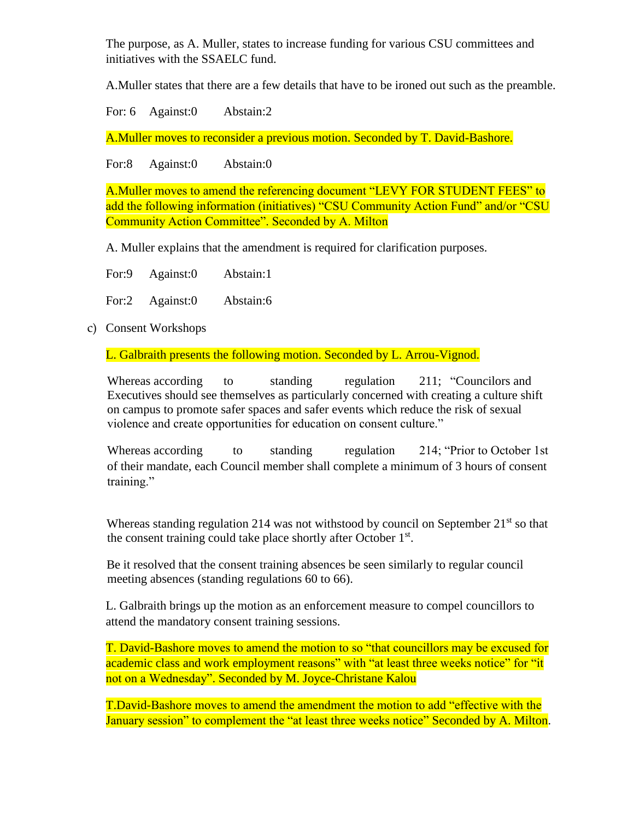The purpose, as A. Muller, states to increase funding for various CSU committees and initiatives with the SSAELC fund.

A.Muller states that there are a few details that have to be ironed out such as the preamble.

For: 6 Against: 0 Abstain: 2

A.Muller moves to reconsider a previous motion. Seconded by T. David-Bashore.

For:8 Against:0 Abstain:0

A.Muller moves to amend the referencing document "LEVY FOR STUDENT FEES" to add the following information (initiatives) "CSU Community Action Fund" and/or "CSU Community Action Committee". Seconded by A. Milton

A. Muller explains that the amendment is required for clarification purposes.

| For:9 | Against:0       | Abstain:1 |
|-------|-----------------|-----------|
|       | For:2 Against:0 | Abstain:6 |

c) Consent Workshops

L. Galbraith presents the following motion. Seconded by L. Arrou-Vignod.

Whereas according to standing regulation 211; "Councilors and Executives should see themselves as particularly concerned with creating a culture shift on campus to promote safer spaces and safer events which reduce the risk of sexual violence and create opportunities for education on consent culture."

Whereas according to standing regulation 214; "Prior to October 1st" of their mandate, each Council member shall complete a minimum of 3 hours of consent training."

Whereas standing regulation 214 was not withstood by council on September  $21<sup>st</sup>$  so that the consent training could take place shortly after October 1<sup>st</sup>.

Be it resolved that the consent training absences be seen similarly to regular council meeting absences (standing regulations 60 to 66).

L. Galbraith brings up the motion as an enforcement measure to compel councillors to attend the mandatory consent training sessions.

T. David-Bashore moves to amend the motion to so "that councillors may be excused for academic class and work employment reasons" with "at least three weeks notice" for "it not on a Wednesday". Seconded by M. Joyce-Christane Kalou

T.David-Bashore moves to amend the amendment the motion to add "effective with the January session" to complement the "at least three weeks notice" Seconded by A. Milton.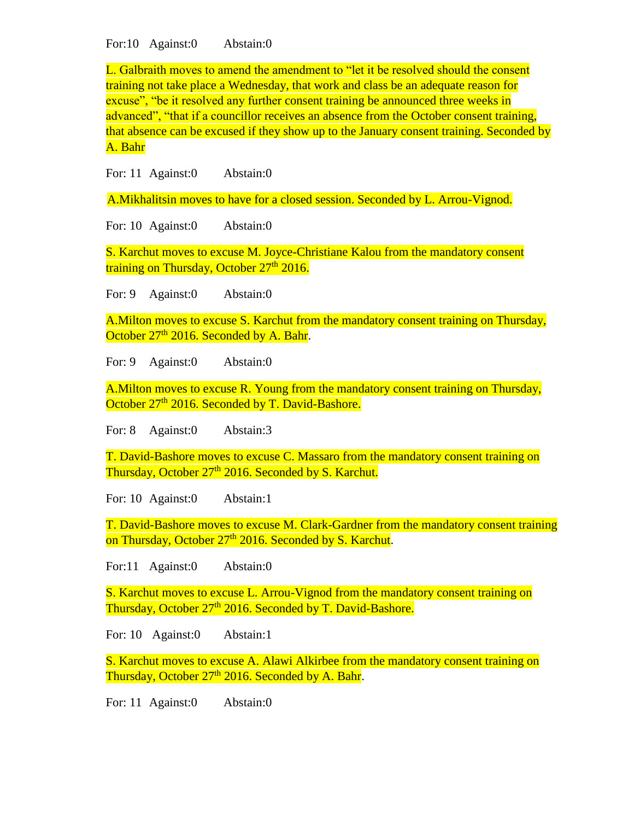For:10 Against:0 Abstain:0

L. Galbraith moves to amend the amendment to "let it be resolved should the consent training not take place a Wednesday, that work and class be an adequate reason for excuse", "be it resolved any further consent training be announced three weeks in advanced", "that if a councillor receives an absence from the October consent training, that absence can be excused if they show up to the January consent training. Seconded by A. Bahr

For: 11 Against:0 Abstain:0

A.Mikhalitsin moves to have for a closed session. Seconded by L. Arrou-Vignod.

For: 10 Against:0 Abstain:0

S. Karchut moves to excuse M. Joyce-Christiane Kalou from the mandatory consent training on Thursday, October 27<sup>th</sup> 2016.

For: 9 Against:0 Abstain:0

A.Milton moves to excuse S. Karchut from the mandatory consent training on Thursday, October 27<sup>th</sup> 2016. Seconded by A. Bahr.

For: 9 Against: 0 Abstain: 0

A.Milton moves to excuse R. Young from the mandatory consent training on Thursday, October 27<sup>th</sup> 2016. Seconded by T. David-Bashore.

For: 8 Against:0 Abstain:3

T. David-Bashore moves to excuse C. Massaro from the mandatory consent training on Thursday, October 27<sup>th</sup> 2016. Seconded by S. Karchut.

For: 10 Against:0 Abstain:1

T. David-Bashore moves to excuse M. Clark-Gardner from the mandatory consent training on Thursday, October 27<sup>th</sup> 2016. Seconded by S. Karchut.

For:11 Against:0 Abstain:0

S. Karchut moves to excuse L. Arrou-Vignod from the mandatory consent training on Thursday, October 27<sup>th</sup> 2016. Seconded by T. David-Bashore.

For: 10 Against:0 Abstain:1

S. Karchut moves to excuse A. Alawi Alkirbee from the mandatory consent training on Thursday, October  $27<sup>th</sup>$  2016. Seconded by A. Bahr.

For: 11 Against:0 Abstain:0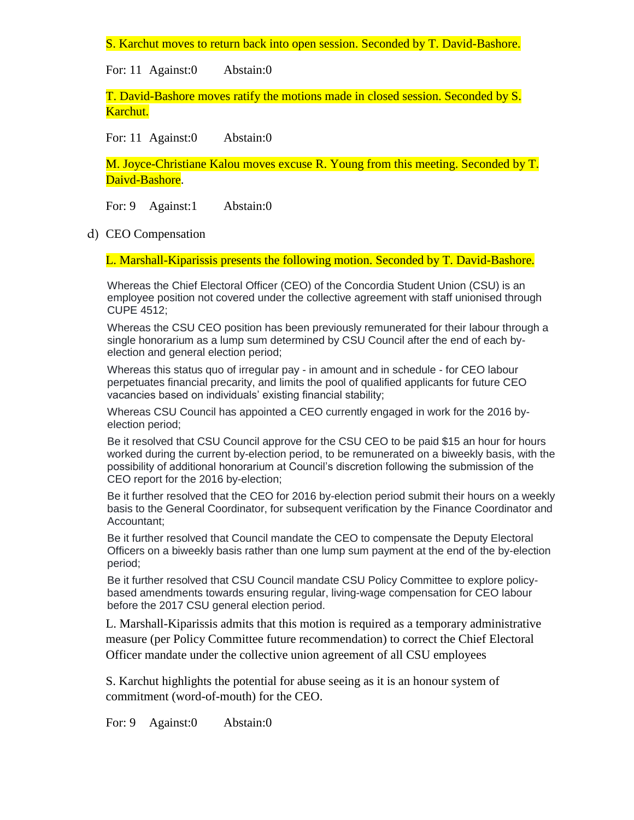S. Karchut moves to return back into open session. Seconded by T. David-Bashore.

For: 11 Against:0 Abstain:0

T. David-Bashore moves ratify the motions made in closed session. Seconded by S. Karchut.

For: 11 Against:0 Abstain:0

M. Joyce-Christiane Kalou moves excuse R. Young from this meeting. Seconded by T. Daivd-Bashore.

For: 9 Against:1 Abstain:0

d) CEO Compensation

L. Marshall-Kiparissis presents the following motion. Seconded by T. David-Bashore.

Whereas the Chief Electoral Officer (CEO) of the Concordia Student Union (CSU) is an employee position not covered under the collective agreement with staff unionised through CUPE 4512;

Whereas the CSU CEO position has been previously remunerated for their labour through a single honorarium as a lump sum determined by CSU Council after the end of each byelection and general election period;

Whereas this status quo of irregular pay - in amount and in schedule - for CEO labour perpetuates financial precarity, and limits the pool of qualified applicants for future CEO vacancies based on individuals' existing financial stability;

Whereas CSU Council has appointed a CEO currently engaged in work for the 2016 byelection period;

Be it resolved that CSU Council approve for the CSU CEO to be paid \$15 an hour for hours worked during the current by-election period, to be remunerated on a biweekly basis, with the possibility of additional honorarium at Council's discretion following the submission of the CEO report for the 2016 by-election;

Be it further resolved that the CEO for 2016 by-election period submit their hours on a weekly basis to the General Coordinator, for subsequent verification by the Finance Coordinator and Accountant;

Be it further resolved that Council mandate the CEO to compensate the Deputy Electoral Officers on a biweekly basis rather than one lump sum payment at the end of the by-election period;

Be it further resolved that CSU Council mandate CSU Policy Committee to explore policybased amendments towards ensuring regular, living-wage compensation for CEO labour before the 2017 CSU general election period.

L. Marshall-Kiparissis admits that this motion is required as a temporary administrative measure (per Policy Committee future recommendation) to correct the Chief Electoral Officer mandate under the collective union agreement of all CSU employees

S. Karchut highlights the potential for abuse seeing as it is an honour system of commitment (word-of-mouth) for the CEO.

For: 9 Against:0 Abstain:0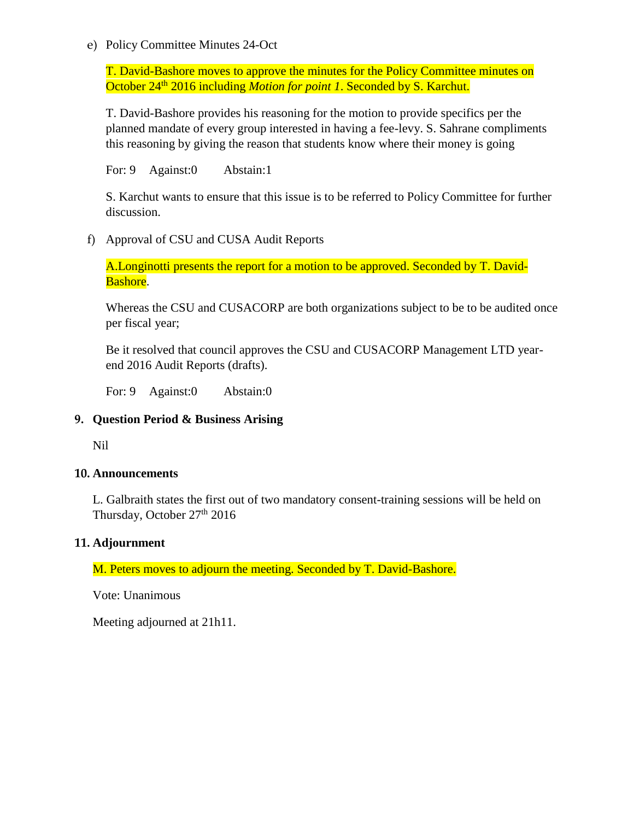#### e) Policy Committee Minutes 24-Oct

T. David-Bashore moves to approve the minutes for the Policy Committee minutes on October 24<sup>th</sup> 2016 including *Motion for point 1*. Seconded by S. Karchut.

T. David-Bashore provides his reasoning for the motion to provide specifics per the planned mandate of every group interested in having a fee-levy. S. Sahrane compliments this reasoning by giving the reason that students know where their money is going

For: 9 Against:0 Abstain:1

S. Karchut wants to ensure that this issue is to be referred to Policy Committee for further discussion.

f) Approval of CSU and CUSA Audit Reports

A.Longinotti presents the report for a motion to be approved. Seconded by T. David-Bashore.

Whereas the CSU and CUSACORP are both organizations subject to be to be audited once per fiscal year;

Be it resolved that council approves the CSU and CUSACORP Management LTD yearend 2016 Audit Reports (drafts).

For: 9 Against: 0 Abstain: 0

### **9. Question Period & Business Arising**

Nil

#### **10. Announcements**

L. Galbraith states the first out of two mandatory consent-training sessions will be held on Thursday, October 27<sup>th</sup> 2016

#### **11. Adjournment**

M. Peters moves to adjourn the meeting. Seconded by T. David-Bashore.

Vote: Unanimous

Meeting adjourned at 21h11.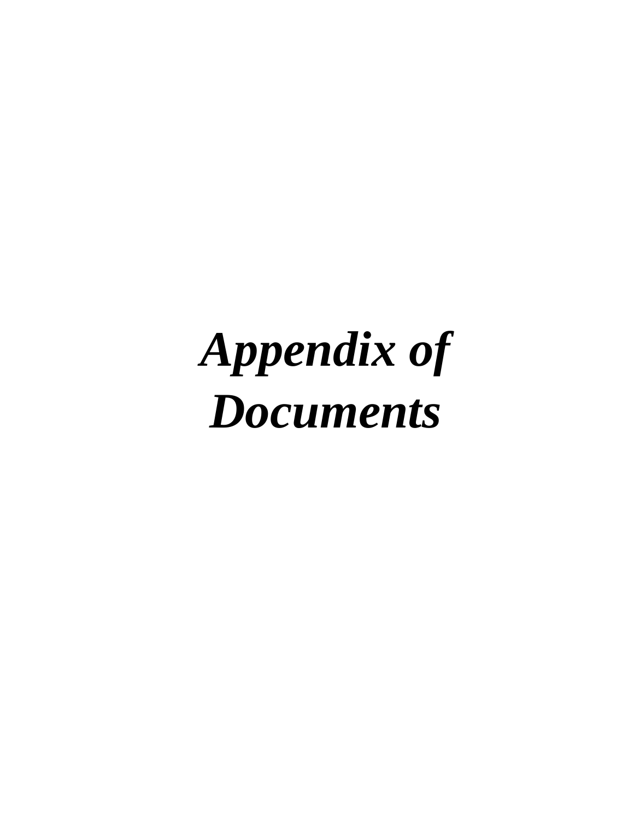# *Appendix of Documents*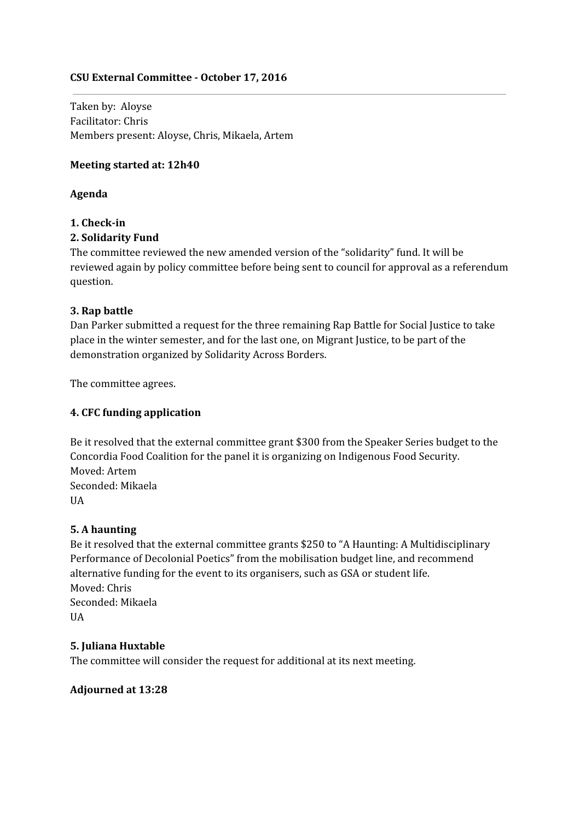## **CSU External Committee - October 17, 2016**

Taken by: Aloyse Facilitator: Chris Members present: Aloyse, Chris, Mikaela, Artem

#### **Meeting started at: 12h40**

#### **Agenda**

### **1. Check-in**

### **2. Solidarity Fund**

The committee reviewed the new amended version of the "solidarity" fund. It will be reviewed again by policy committee before being sent to council for approval as a referendum question.

### **3. Rap battle**

Dan Parker submitted a request for the three remaining Rap Battle for Social Justice to take place in the winter semester, and for the last one, on Migrant Justice, to be part of the demonstration organized by Solidarity Across Borders.

The committee agrees.

#### **4. CFC funding application**

Be it resolved that the external committee grant \$300 from the Speaker Series budget to the Concordia Food Coalition for the panel it is organizing on Indigenous Food Security. Moved: Artem Seconded: Mikaela UA

#### **5. A haunting**

Be it resolved that the external committee grants \$250 to "A Haunting: A Multidisciplinary Performance of Decolonial Poetics" from the mobilisation budget line, and recommend alternative funding for the event to its organisers, such as GSA or student life. Moved: Chris Seconded: Mikaela **UA** 

#### **5. Juliana Huxtable**

The committee will consider the request for additional at its next meeting.

#### **Adjourned at 13:28**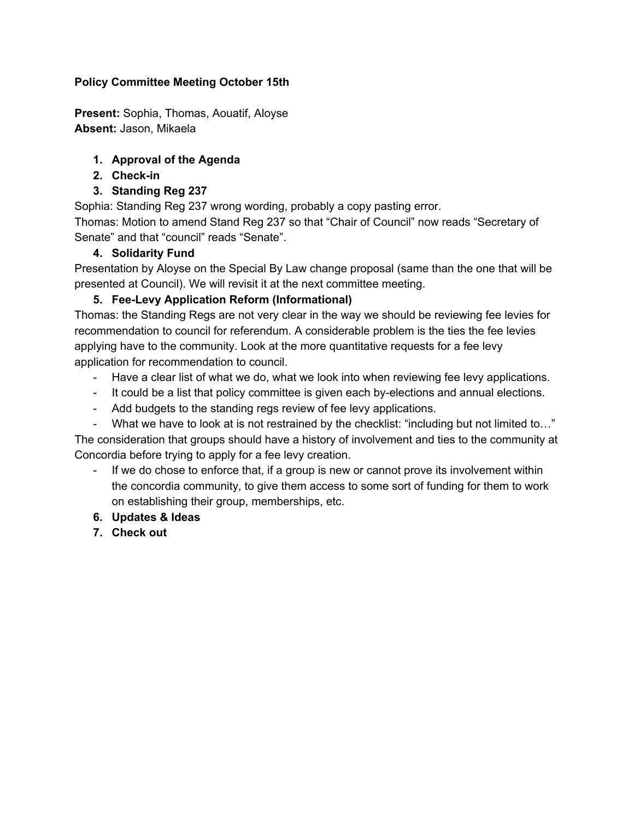## **Policy Committee Meeting October 15th**

**Present:** Sophia, Thomas, Aouatif, Aloyse **Absent:** Jason, Mikaela

## **1. Approval of the Agenda**

- **2. Check-in**
- **3. Standing Reg 237**

Sophia: Standing Reg 237 wrong wording, probably a copy pasting error.

Thomas: Motion to amend Stand Reg 237 so that "Chair of Council" now reads "Secretary of Senate" and that "council" reads "Senate".

## **4. Solidarity Fund**

Presentation by Aloyse on the Special By Law change proposal (same than the one that will be presented at Council). We will revisit it at the next committee meeting.

## **5. Fee-Levy Application Reform (Informational)**

Thomas: the Standing Regs are not very clear in the way we should be reviewing fee levies for recommendation to council for referendum. A considerable problem is the ties the fee levies applying have to the community. Look at the more quantitative requests for a fee levy application for recommendation to council.

- Have a clear list of what we do, what we look into when reviewing fee levy applications.
- It could be a list that policy committee is given each by-elections and annual elections.
- Add budgets to the standing regs review of fee levy applications.

- What we have to look at is not restrained by the checklist: "including but not limited to…" The consideration that groups should have a history of involvement and ties to the community at Concordia before trying to apply for a fee levy creation.

- If we do chose to enforce that, if a group is new or cannot prove its involvement within the concordia community, to give them access to some sort of funding for them to work on establishing their group, memberships, etc.
- **6. Updates & Ideas**
- **7. Check out**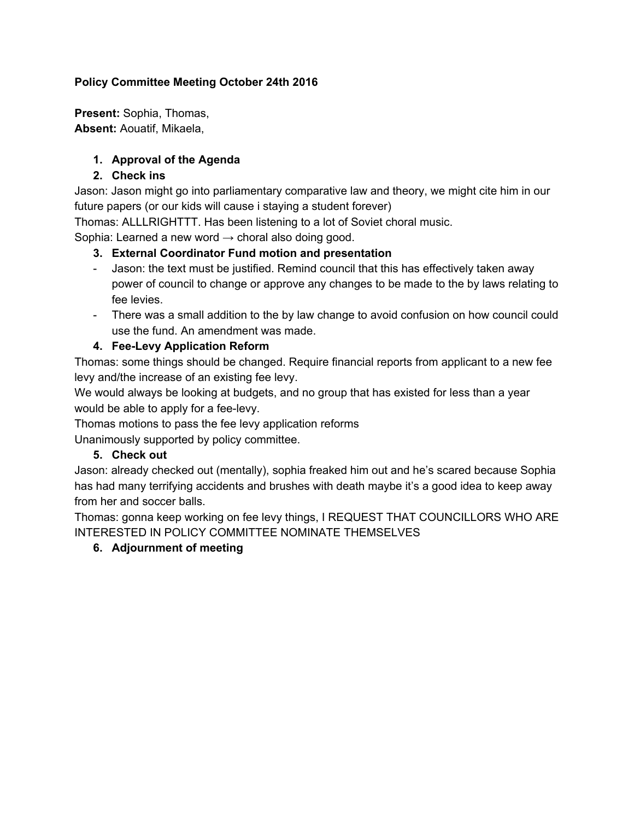## **Policy Committee Meeting October 24th 2016**

**Present:** Sophia, Thomas, **Absent:** Aouatif, Mikaela,

## **1. Approval of the Agenda**

## **2. Check ins**

Jason: Jason might go into parliamentary comparative law and theory, we might cite him in our future papers (or our kids will cause i staying a student forever)

Thomas: ALLLRIGHTTT. Has been listening to a lot of Soviet choral music.

Sophia: Learned a new word  $\rightarrow$  choral also doing good.

## **3. External Coordinator Fund motion and presentation**

- Jason: the text must be justified. Remind council that this has effectively taken away power of council to change or approve any changes to be made to the by laws relating to fee levies.
- There was a small addition to the by law change to avoid confusion on how council could use the fund. An amendment was made.

## **4. Fee-Levy Application Reform**

Thomas: some things should be changed. Require financial reports from applicant to a new fee levy and/the increase of an existing fee levy.

We would always be looking at budgets, and no group that has existed for less than a year would be able to apply for a fee-levy.

Thomas motions to pass the fee levy application reforms

Unanimously supported by policy committee.

## **5. Check out**

Jason: already checked out (mentally), sophia freaked him out and he's scared because Sophia has had many terrifying accidents and brushes with death maybe it's a good idea to keep away from her and soccer balls.

Thomas: gonna keep working on fee levy things, I REQUEST THAT COUNCILLORS WHO ARE INTERESTED IN POLICY COMMITTEE NOMINATE THEMSELVES

## **6. Adjournment of meeting**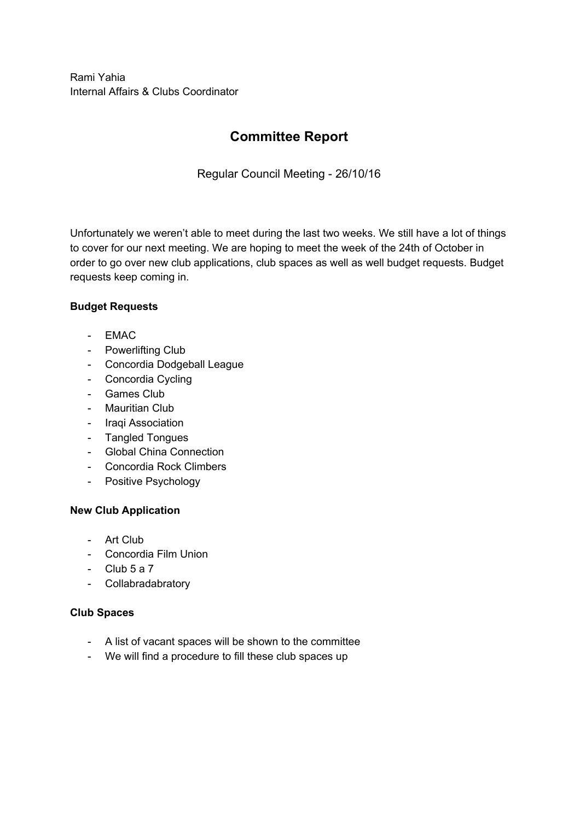Rami Yahia Internal Affairs & Clubs Coordinator

## **Committee Report**

Regular Council Meeting - 26/10/16

Unfortunately we weren't able to meet during the last two weeks. We still have a lot of things to cover for our next meeting. We are hoping to meet the week of the 24th of October in order to go over new club applications, club spaces as well as well budget requests. Budget requests keep coming in.

## **Budget Requests**

- EMAC
- Powerlifting Club
- Concordia Dodgeball League
- Concordia Cycling
- Games Club
- Mauritian Club
- Iraqi Association
- Tangled Tongues
- Global China Connection
- Concordia Rock Climbers
- Positive Psychology

## **New Club Application**

- Art Club
- Concordia Film Union
- $Club 5a 7$
- Collabradabratory

## **Club Spaces**

- A list of vacant spaces will be shown to the committee
- We will find a procedure to fill these club spaces up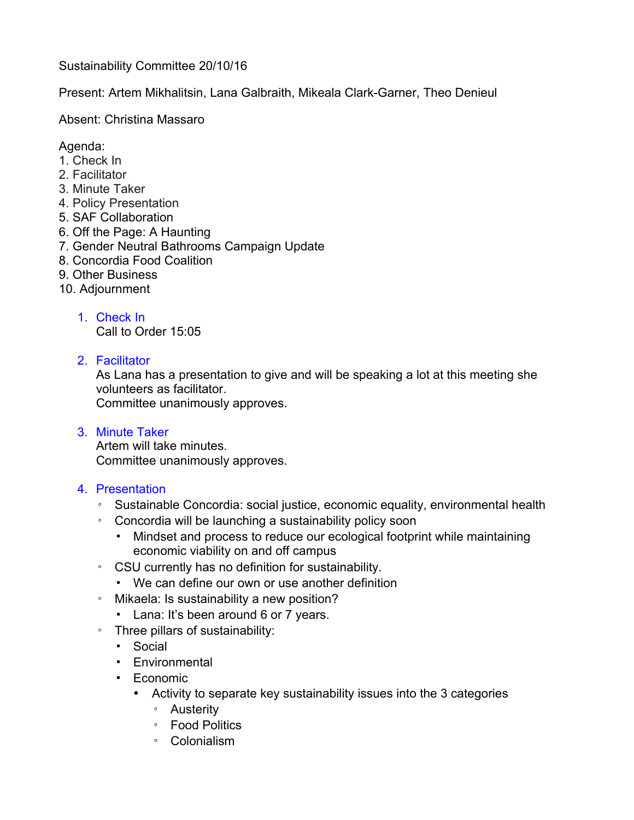Sustainability Committee 20/10/16

Present: Artem Mikhalitsin, Lana Galbraith, Mikeala Clark-Garner, Theo Denieul

Absent: Christina Massaro

## Agenda:

- 1. Check In
- 2. Facilitator
- 3. Minute Taker
- 4. Policy Presentation
- 5. SAF Collaboration
- 6. Off the Page: A Haunting
- 7. Gender Neutral Bathrooms Campaign Update
- 8. Concordia Food Coalition
- 9. Other Business
- 10. Adjournment
	- 1. Check In

Call to Order 15:05

2. Facilitator

As Lana has a presentation to give and will be speaking a lot at this meeting she volunteers as facilitator.

Committee unanimously approves.

3. Minute Taker

Artem will take minutes. Committee unanimously approves.

- 4. Presentation
	- Sustainable Concordia: social justice, economic equality, environmental health
	- Concordia will be launching a sustainability policy soon
		- Mindset and process to reduce our ecological footprint while maintaining economic viability on and off campus
	- CSU currently has no definition for sustainability.
		- We can define our own or use another definition
	- Mikaela: Is sustainability a new position?
		- Lana: It's been around 6 or 7 years.
	- Three pillars of sustainability:
		- Social
		- Environmental
		- Economic
			- Activity to separate key sustainability issues into the 3 categories
				- Austerity
				- Food Politics
				- Colonialism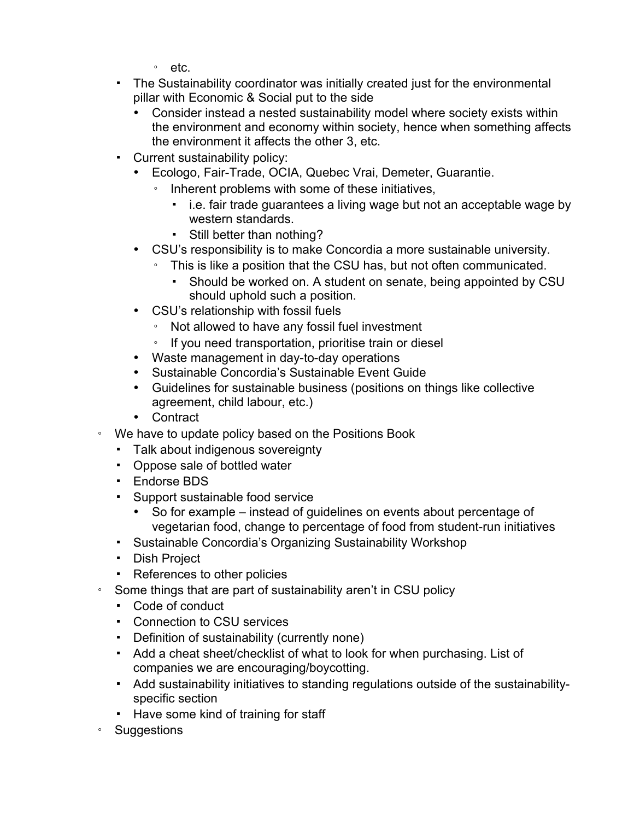- etc.
- The Sustainability coordinator was initially created just for the environmental pillar with Economic & Social put to the side
	- Consider instead a nested sustainability model where society exists within the environment and economy within society, hence when something affects the environment it affects the other 3, etc.
- Current sustainability policy:
	- Ecologo, Fair-Trade, OCIA, Quebec Vrai, Demeter, Guarantie.
		- Inherent problems with some of these initiatives,
			- i.e. fair trade guarantees a living wage but not an acceptable wage by western standards.
			- Still better than nothing?
	- CSU's responsibility is to make Concordia a more sustainable university.
		- This is like a position that the CSU has, but not often communicated.
			- Should be worked on. A student on senate, being appointed by CSU should uphold such a position.
	- CSU's relationship with fossil fuels
		- Not allowed to have any fossil fuel investment
		- If you need transportation, prioritise train or diesel
	- Waste management in day-to-day operations
	- Sustainable Concordia's Sustainable Event Guide
	- Guidelines for sustainable business (positions on things like collective agreement, child labour, etc.)
	- Contract
- We have to update policy based on the Positions Book
	- Talk about indigenous sovereignty
	- Oppose sale of bottled water
	- Endorse BDS
	- Support sustainable food service
		- So for example instead of guidelines on events about percentage of vegetarian food, change to percentage of food from student-run initiatives
	- Sustainable Concordia's Organizing Sustainability Workshop
	- Dish Project
	- References to other policies
- Some things that are part of sustainability aren't in CSU policy
	- Code of conduct
	- Connection to CSU services
	- Definition of sustainability (currently none)
	- Add a cheat sheet/checklist of what to look for when purchasing. List of companies we are encouraging/boycotting.
	- Add sustainability initiatives to standing regulations outside of the sustainabilityspecific section
	- Have some kind of training for staff
- Suggestions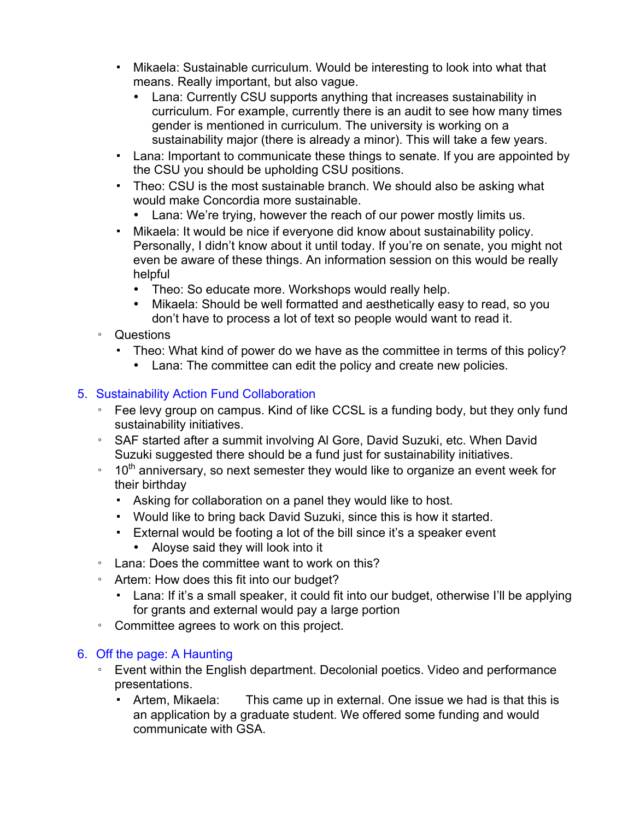- Mikaela: Sustainable curriculum. Would be interesting to look into what that means. Really important, but also vague.
	- Lana: Currently CSU supports anything that increases sustainability in curriculum. For example, currently there is an audit to see how many times gender is mentioned in curriculum. The university is working on a sustainability major (there is already a minor). This will take a few years.
- Lana: Important to communicate these things to senate. If you are appointed by the CSU you should be upholding CSU positions.
- Theo: CSU is the most sustainable branch. We should also be asking what would make Concordia more sustainable.
	- Lana: We're trying, however the reach of our power mostly limits us.
- Mikaela: It would be nice if everyone did know about sustainability policy. Personally, I didn't know about it until today. If you're on senate, you might not even be aware of these things. An information session on this would be really helpful
	- Theo: So educate more. Workshops would really help.
	- Mikaela: Should be well formatted and aesthetically easy to read, so you don't have to process a lot of text so people would want to read it.
- Questions
	- Theo: What kind of power do we have as the committee in terms of this policy?
		- Lana: The committee can edit the policy and create new policies.

## 5. Sustainability Action Fund Collaboration

- Fee levy group on campus. Kind of like CCSL is a funding body, but they only fund sustainability initiatives.
- SAF started after a summit involving Al Gore, David Suzuki, etc. When David Suzuki suggested there should be a fund just for sustainability initiatives.
- $\cdot$  10<sup>th</sup> anniversary, so next semester they would like to organize an event week for their birthday
	- Asking for collaboration on a panel they would like to host.
	- Would like to bring back David Suzuki, since this is how it started.
	- External would be footing a lot of the bill since it's a speaker event
		- Aloyse said they will look into it
- Lana: Does the committee want to work on this?
- Artem: How does this fit into our budget?
	- Lana: If it's a small speaker, it could fit into our budget, otherwise I'll be applying for grants and external would pay a large portion
- Committee agrees to work on this project.

## 6. Off the page: A Haunting

- Event within the English department. Decolonial poetics. Video and performance presentations.
	- Artem, Mikaela: This came up in external. One issue we had is that this is an application by a graduate student. We offered some funding and would communicate with GSA.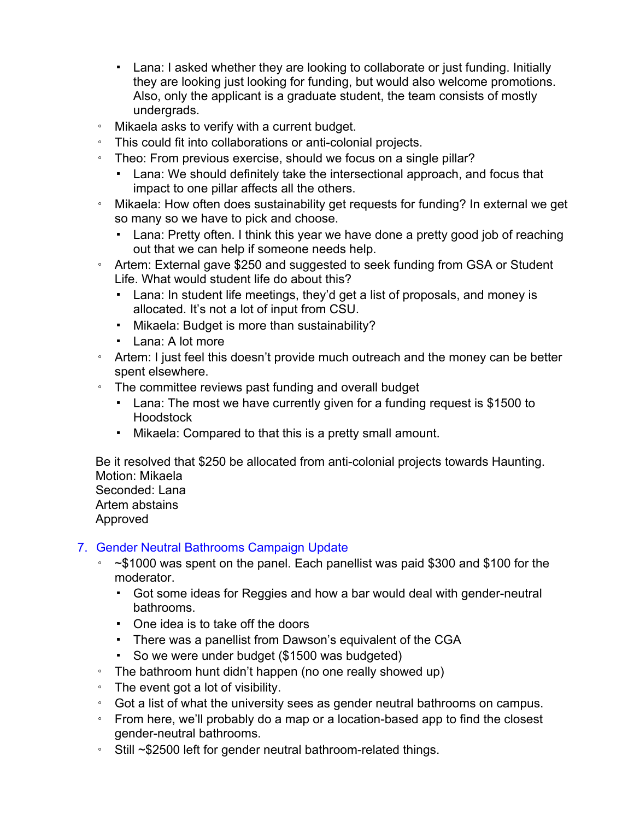- Lana: I asked whether they are looking to collaborate or just funding. Initially they are looking just looking for funding, but would also welcome promotions. Also, only the applicant is a graduate student, the team consists of mostly undergrads.
- Mikaela asks to verify with a current budget.
- This could fit into collaborations or anti-colonial projects.
- Theo: From previous exercise, should we focus on a single pillar?
	- Lana: We should definitely take the intersectional approach, and focus that impact to one pillar affects all the others.
- Mikaela: How often does sustainability get requests for funding? In external we get so many so we have to pick and choose.
	- Lana: Pretty often. I think this year we have done a pretty good job of reaching out that we can help if someone needs help.
- Artem: External gave \$250 and suggested to seek funding from GSA or Student Life. What would student life do about this?
	- Lana: In student life meetings, they'd get a list of proposals, and money is allocated. It's not a lot of input from CSU.
	- Mikaela: Budget is more than sustainability?
	- Lana: A lot more
- Artem: I just feel this doesn't provide much outreach and the money can be better spent elsewhere.
- The committee reviews past funding and overall budget
	- Lana: The most we have currently given for a funding request is \$1500 to Hoodstock
	- Mikaela: Compared to that this is a pretty small amount.

Be it resolved that \$250 be allocated from anti-colonial projects towards Haunting. Motion: Mikaela Seconded: Lana Artem abstains Approved

## 7. Gender Neutral Bathrooms Campaign Update

- ~\$1000 was spent on the panel. Each panellist was paid \$300 and \$100 for the moderator.
	- Got some ideas for Reggies and how a bar would deal with gender-neutral bathrooms.
	- One idea is to take off the doors
	- There was a panellist from Dawson's equivalent of the CGA
	- So we were under budget (\$1500 was budgeted)
- The bathroom hunt didn't happen (no one really showed up)
- The event got a lot of visibility.
- Got a list of what the university sees as gender neutral bathrooms on campus.
- From here, we'll probably do a map or a location-based app to find the closest gender-neutral bathrooms.
- Still ~\$2500 left for gender neutral bathroom-related things.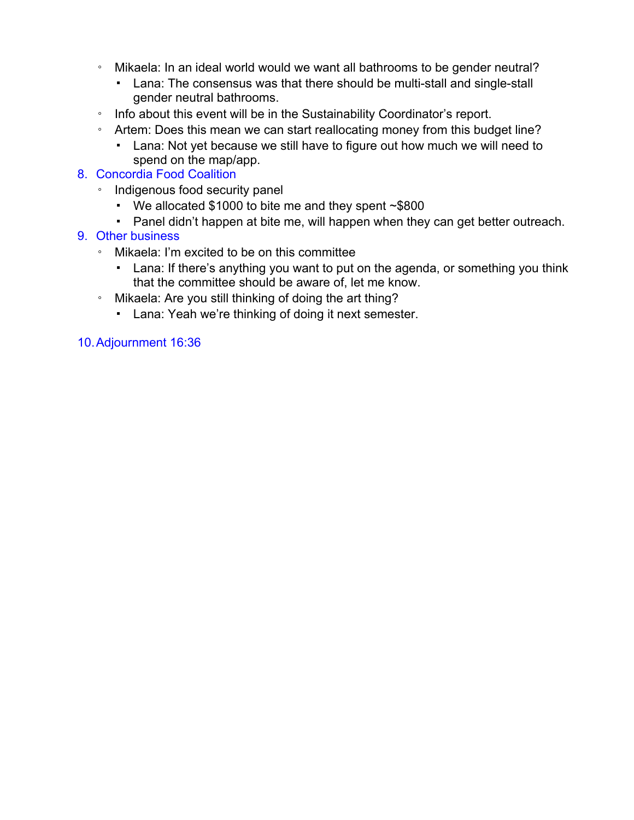- Mikaela: In an ideal world would we want all bathrooms to be gender neutral?
	- Lana: The consensus was that there should be multi-stall and single-stall gender neutral bathrooms.
- Info about this event will be in the Sustainability Coordinator's report.
- Artem: Does this mean we can start reallocating money from this budget line?
	- Lana: Not yet because we still have to figure out how much we will need to spend on the map/app.

## 8. Concordia Food Coalition

- Indigenous food security panel
	- We allocated \$1000 to bite me and they spent ~\$800
	- Panel didn't happen at bite me, will happen when they can get better outreach.

## 9. Other business

- Mikaela: I'm excited to be on this committee
	- Lana: If there's anything you want to put on the agenda, or something you think that the committee should be aware of, let me know.
- Mikaela: Are you still thinking of doing the art thing?
	- Lana: Yeah we're thinking of doing it next semester.

## 10.Adjournment 16:36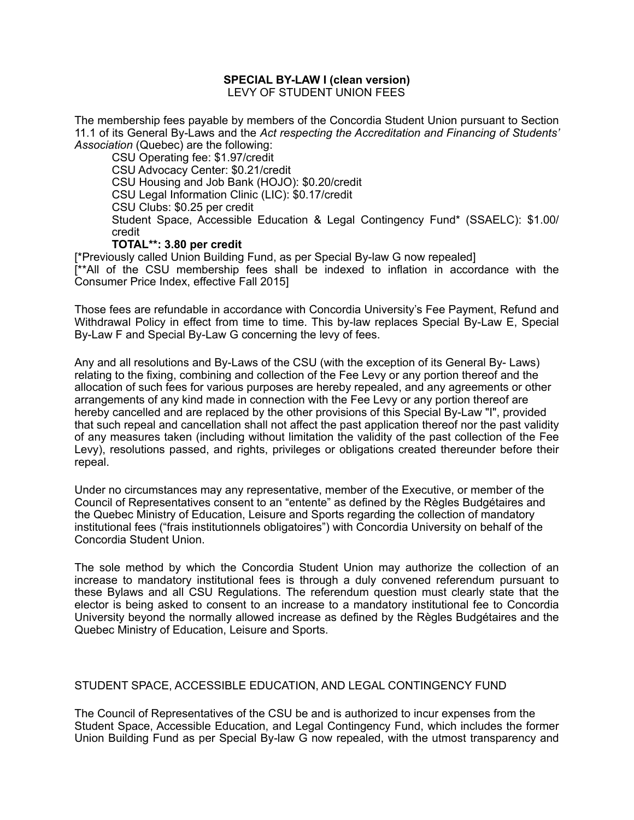#### **SPECIAL BY-LAW I (clean version)** LEVY OF STUDENT UNION FEES

The membership fees payable by members of the Concordia Student Union pursuant to Section 11.1 of its General By-Laws and the *Act respecting the Accreditation and Financing of Students' Association* (Quebec) are the following:

CSU Operating fee: \$1.97/credit CSU Advocacy Center: \$0.21/credit CSU Housing and Job Bank (HOJO): \$0.20/credit CSU Legal Information Clinic (LIC): \$0.17/credit CSU Clubs: \$0.25 per credit Student Space, Accessible Education & Legal Contingency Fund\* (SSAELC): \$1.00/ credit

#### **TOTAL\*\*: 3.80 per credit**

[\*Previously called Union Building Fund, as per Special By-law G now repealed] [\*\*All of the CSU membership fees shall be indexed to inflation in accordance with the Consumer Price Index, effective Fall 2015]

Those fees are refundable in accordance with Concordia University's Fee Payment, Refund and Withdrawal Policy in effect from time to time. This by-law replaces Special By-Law E, Special By-Law F and Special By-Law G concerning the levy of fees.

Any and all resolutions and By-Laws of the CSU (with the exception of its General By- Laws) relating to the fixing, combining and collection of the Fee Levy or any portion thereof and the allocation of such fees for various purposes are hereby repealed, and any agreements or other arrangements of any kind made in connection with the Fee Levy or any portion thereof are hereby cancelled and are replaced by the other provisions of this Special By-Law "I", provided that such repeal and cancellation shall not affect the past application thereof nor the past validity of any measures taken (including without limitation the validity of the past collection of the Fee Levy), resolutions passed, and rights, privileges or obligations created thereunder before their repeal.

Under no circumstances may any representative, member of the Executive, or member of the Council of Representatives consent to an "entente" as defined by the Règles Budgétaires and the Quebec Ministry of Education, Leisure and Sports regarding the collection of mandatory institutional fees ("frais institutionnels obligatoires") with Concordia University on behalf of the Concordia Student Union.

The sole method by which the Concordia Student Union may authorize the collection of an increase to mandatory institutional fees is through a duly convened referendum pursuant to these Bylaws and all CSU Regulations. The referendum question must clearly state that the elector is being asked to consent to an increase to a mandatory institutional fee to Concordia University beyond the normally allowed increase as defined by the Règles Budgétaires and the Quebec Ministry of Education, Leisure and Sports.

#### STUDENT SPACE, ACCESSIBLE EDUCATION, AND LEGAL CONTINGENCY FUND

The Council of Representatives of the CSU be and is authorized to incur expenses from the Student Space, Accessible Education, and Legal Contingency Fund, which includes the former Union Building Fund as per Special By-law G now repealed, with the utmost transparency and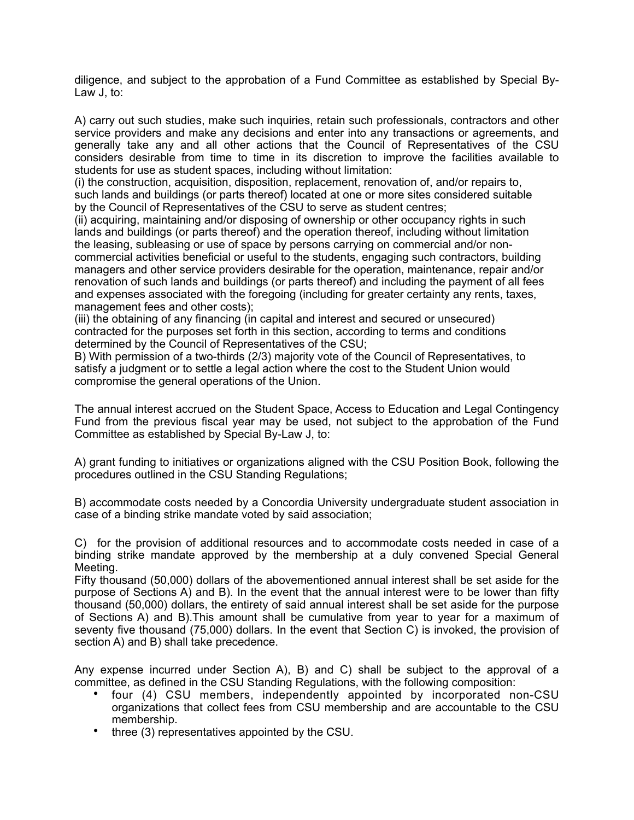diligence, and subject to the approbation of a Fund Committee as established by Special By-Law J, to:

A) carry out such studies, make such inquiries, retain such professionals, contractors and other service providers and make any decisions and enter into any transactions or agreements, and generally take any and all other actions that the Council of Representatives of the CSU considers desirable from time to time in its discretion to improve the facilities available to students for use as student spaces, including without limitation:

(i) the construction, acquisition, disposition, replacement, renovation of, and/or repairs to, such lands and buildings (or parts thereof) located at one or more sites considered suitable by the Council of Representatives of the CSU to serve as student centres;

(ii) acquiring, maintaining and/or disposing of ownership or other occupancy rights in such lands and buildings (or parts thereof) and the operation thereof, including without limitation the leasing, subleasing or use of space by persons carrying on commercial and/or noncommercial activities beneficial or useful to the students, engaging such contractors, building managers and other service providers desirable for the operation, maintenance, repair and/or renovation of such lands and buildings (or parts thereof) and including the payment of all fees and expenses associated with the foregoing (including for greater certainty any rents, taxes, management fees and other costs);

(iii) the obtaining of any financing (in capital and interest and secured or unsecured) contracted for the purposes set forth in this section, according to terms and conditions determined by the Council of Representatives of the CSU;

B) With permission of a two-thirds (2/3) majority vote of the Council of Representatives, to satisfy a judgment or to settle a legal action where the cost to the Student Union would compromise the general operations of the Union.

The annual interest accrued on the Student Space, Access to Education and Legal Contingency Fund from the previous fiscal year may be used, not subject to the approbation of the Fund Committee as established by Special By-Law J, to:

A) grant funding to initiatives or organizations aligned with the CSU Position Book, following the procedures outlined in the CSU Standing Regulations;

B) accommodate costs needed by a Concordia University undergraduate student association in case of a binding strike mandate voted by said association;

C) for the provision of additional resources and to accommodate costs needed in case of a binding strike mandate approved by the membership at a duly convened Special General Meeting.

Fifty thousand (50,000) dollars of the abovementioned annual interest shall be set aside for the purpose of Sections A) and B). In the event that the annual interest were to be lower than fifty thousand (50,000) dollars, the entirety of said annual interest shall be set aside for the purpose of Sections A) and B).This amount shall be cumulative from year to year for a maximum of seventy five thousand (75,000) dollars. In the event that Section C) is invoked, the provision of section A) and B) shall take precedence.

Any expense incurred under Section A), B) and C) shall be subject to the approval of a committee, as defined in the CSU Standing Regulations, with the following composition:

- four (4) CSU members, independently appointed by incorporated non-CSU organizations that collect fees from CSU membership and are accountable to the CSU membership.
- three (3) representatives appointed by the CSU.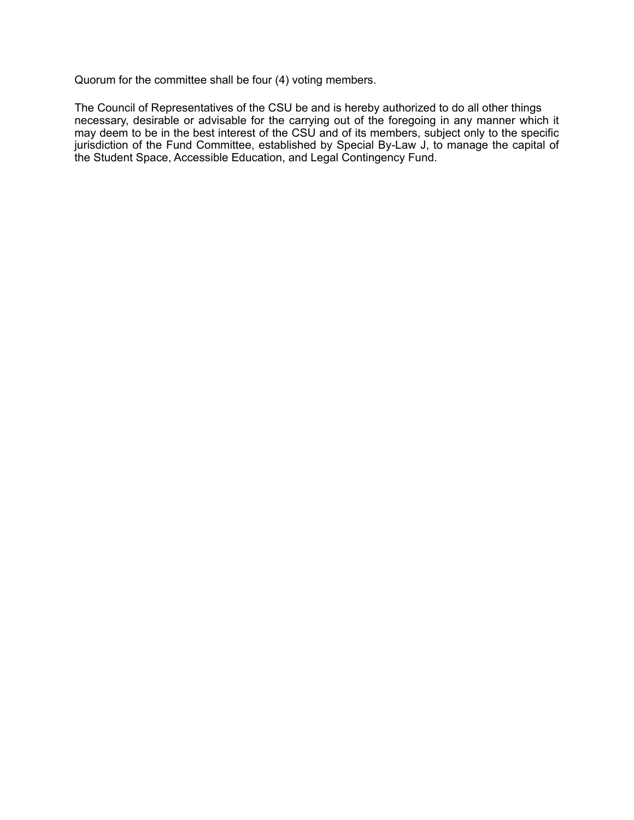Quorum for the committee shall be four (4) voting members.

The Council of Representatives of the CSU be and is hereby authorized to do all other things necessary, desirable or advisable for the carrying out of the foregoing in any manner which it may deem to be in the best interest of the CSU and of its members, subject only to the specific jurisdiction of the Fund Committee, established by Special By-Law J, to manage the capital of the Student Space, Accessible Education, and Legal Contingency Fund.